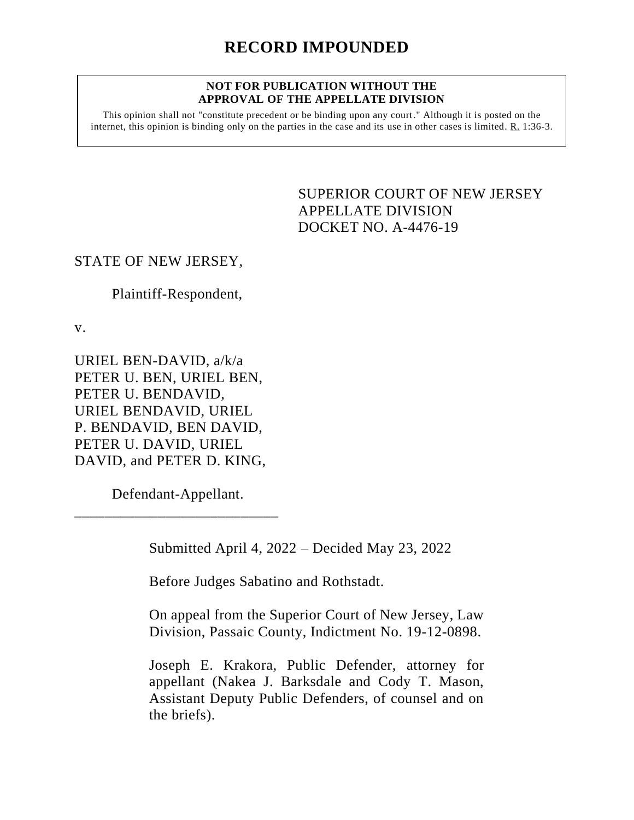## **NOT FOR PUBLICATION WITHOUT THE APPROVAL OF THE APPELLATE DIVISION**

This opinion shall not "constitute precedent or be binding upon any court." Although it is posted on the internet, this opinion is binding only on the parties in the case and its use in other cases is limited.  $R_1$  1:36-3.

> <span id="page-0-0"></span>SUPERIOR COURT OF NEW JERSEY APPELLATE DIVISION DOCKET NO. A-4476-19

## STATE OF NEW JERSEY,

Plaintiff-Respondent,

v.

URIEL BEN-DAVID, a/k/a PETER U. BEN, URIEL BEN, PETER U. BENDAVID, URIEL BENDAVID, URIEL P. BENDAVID, BEN DAVID, PETER U. DAVID, URIEL DAVID, and PETER D. KING,

Defendant-Appellant. \_\_\_\_\_\_\_\_\_\_\_\_\_\_\_\_\_\_\_\_\_\_\_\_\_\_\_

Submitted April 4, 2022 – Decided May 23, 2022

Before Judges Sabatino and Rothstadt.

On appeal from the Superior Court of New Jersey, Law Division, Passaic County, Indictment No. 19-12-0898.

Joseph E. Krakora, Public Defender, attorney for appellant (Nakea J. Barksdale and Cody T. Mason, Assistant Deputy Public Defenders, of counsel and on the briefs).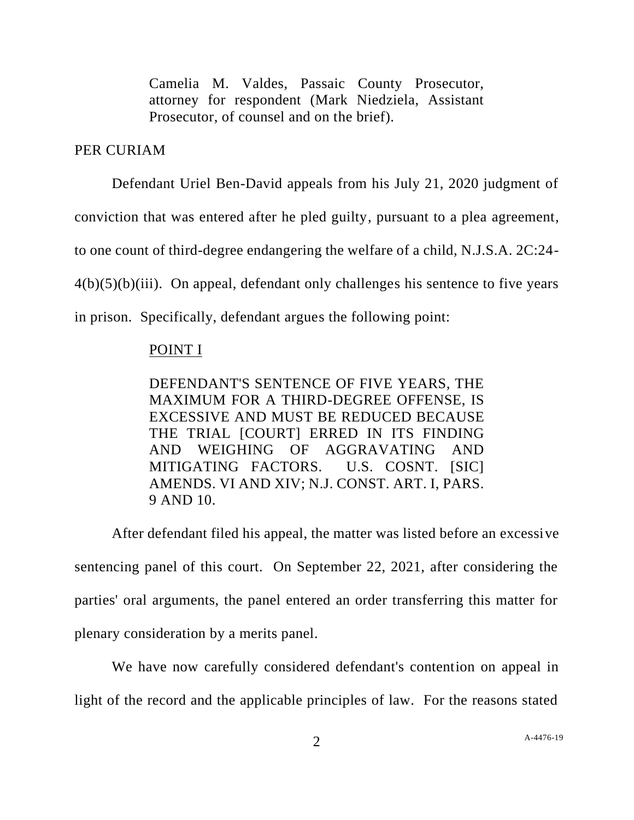Camelia M. Valdes, Passaic County Prosecutor, attorney for respondent (Mark Niedziela, Assistant Prosecutor, of counsel and on the brief).

## PER CURIAM

Defendant Uriel Ben-David appeals from his July 21, 2020 judgment of conviction that was entered after he pled guilty, pursuant to a plea agreement, to one count of third-degree endangering the welfare of a child, N.J.S.A. 2C:24-  $4(b)(5)(b)(iii)$ . On appeal, defendant only challenges his sentence to five years in prison. Specifically, defendant argues the following point:

## POINT I

DEFENDANT'S SENTENCE OF FIVE YEARS, THE MAXIMUM FOR A THIRD-DEGREE OFFENSE, IS EXCESSIVE AND MUST BE REDUCED BECAUSE THE TRIAL [COURT] ERRED IN ITS FINDING AND WEIGHING OF AGGRAVATING AND MITIGATING FACTORS. U.S. COSNT. [SIC] AMENDS. VI AND XIV; N.J. CONST. ART. I, PARS. 9 AND 10.

After defendant filed his appeal, the matter was listed before an excessive sentencing panel of this court. On September 22, 2021, after considering the parties' oral arguments, the panel entered an order transferring this matter for plenary consideration by a merits panel.

We have now carefully considered defendant's contention on appeal in light of the record and the applicable principles of law. For the reasons stated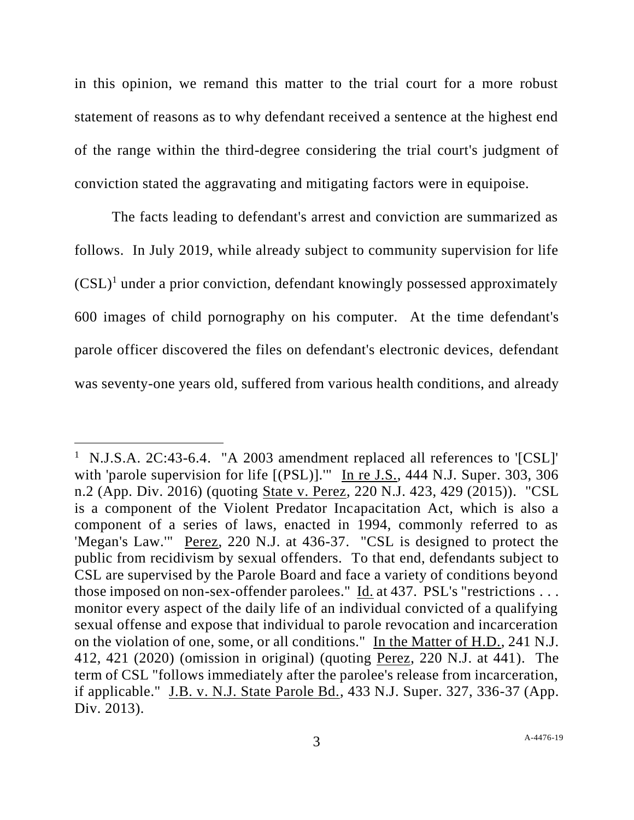in this opinion, we remand this matter to the trial court for a more robust statement of reasons as to why defendant received a sentence at the highest end of the range within the third-degree considering the trial court's judgment of conviction stated the aggravating and mitigating factors were in equipoise.

The facts leading to defendant's arrest and conviction are summarized as follows. In July 2019, while already subject to community supervision for life  $(CSL)^1$  under a prior conviction, defendant knowingly possessed approximately 600 images of child pornography on his computer. At the time defendant's parole officer discovered the files on defendant's electronic devices, defendant was seventy-one years old, suffered from various health conditions, and already

<sup>&</sup>lt;sup>1</sup> N.J.S.A. 2C:43-6.4. "A 2003 amendment replaced all references to '[CSL]' with 'parole supervision for life [(PSL)]." In re J.S., 444 N.J. Super. 303, 306 n.2 (App. Div. 2016) (quoting State v. Perez, 220 N.J. 423, 429 (2015)). "CSL is a component of the Violent Predator Incapacitation Act, which is also a component of a series of laws, enacted in 1994, commonly referred to as 'Megan's Law.'" Perez, 220 N.J. at 436-37. "CSL is designed to protect the public from recidivism by sexual offenders. To that end, defendants subject to CSL are supervised by the Parole Board and face a variety of conditions beyond those imposed on non-sex-offender parolees." Id. at 437. PSL's "restrictions . . . monitor every aspect of the daily life of an individual convicted of a qualifying sexual offense and expose that individual to parole revocation and incarceration on the violation of one, some, or all conditions." In the Matter of H.D., 241 N.J. 412, 421 (2020) (omission in original) (quoting Perez, 220 N.J. at 441). The term of CSL "follows immediately after the parolee's release from incarceration, if applicable." J.B. v. N.J. State Parole Bd., 433 N.J. Super. 327, 336-37 (App. Div. 2013).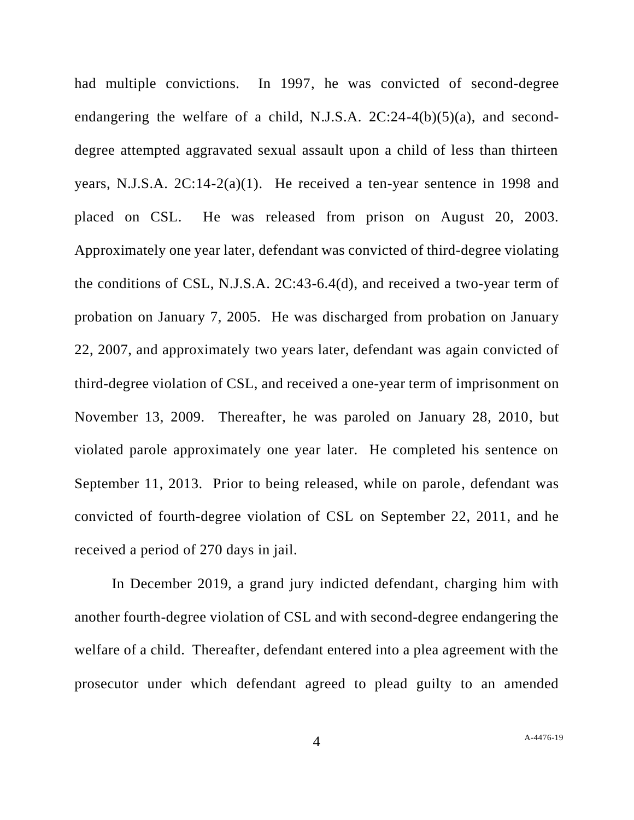had multiple convictions. In 1997, he was convicted of second-degree endangering the welfare of a child, N.J.S.A.  $2C:24-4(b)(5)(a)$ , and seconddegree attempted aggravated sexual assault upon a child of less than thirteen years, N.J.S.A. 2C:14-2(a)(1). He received a ten-year sentence in 1998 and placed on CSL. He was released from prison on August 20, 2003. Approximately one year later, defendant was convicted of third-degree violating the conditions of CSL, N.J.S.A. 2C:43-6.4(d), and received a two-year term of probation on January 7, 2005. He was discharged from probation on January 22, 2007, and approximately two years later, defendant was again convicted of third-degree violation of CSL, and received a one-year term of imprisonment on November 13, 2009. Thereafter, he was paroled on January 28, 2010, but violated parole approximately one year later. He completed his sentence on September 11, 2013. Prior to being released, while on parole, defendant was convicted of fourth-degree violation of CSL on September 22, 2011, and he received a period of 270 days in jail.

In December 2019, a grand jury indicted defendant, charging him with another fourth-degree violation of CSL and with second-degree endangering the welfare of a child. Thereafter, defendant entered into a plea agreement with the prosecutor under which defendant agreed to plead guilty to an amended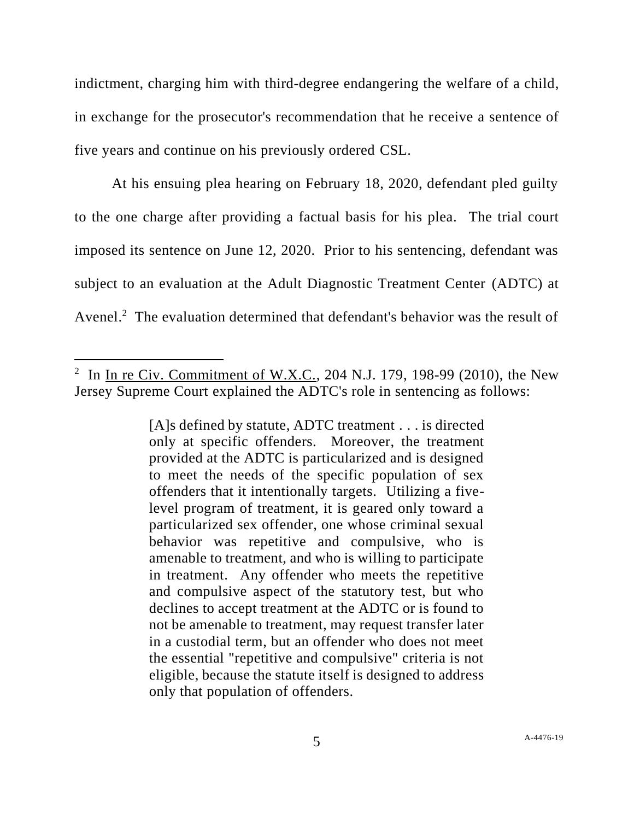indictment, charging him with third-degree endangering the welfare of a child, in exchange for the prosecutor's recommendation that he receive a sentence of five years and continue on his previously ordered CSL.

At his ensuing plea hearing on February 18, 2020, defendant pled guilty to the one charge after providing a factual basis for his plea. The trial court imposed its sentence on June 12, 2020. Prior to his sentencing, defendant was subject to an evaluation at the Adult Diagnostic Treatment Center (ADTC) at Avenel.<sup>2</sup> The evaluation determined that defendant's behavior was the result of

[A]s defined by statute, ADTC treatment . . . is directed only at specific offenders. Moreover, the treatment provided at the ADTC is particularized and is designed to meet the needs of the specific population of sex offenders that it intentionally targets. Utilizing a fivelevel program of treatment, it is geared only toward a particularized sex offender, one whose criminal sexual behavior was repetitive and compulsive, who is amenable to treatment, and who is willing to participate in treatment. Any offender who meets the repetitive and compulsive aspect of the statutory test, but who declines to accept treatment at the ADTC or is found to not be amenable to treatment, may request transfer later in a custodial term, but an offender who does not meet the essential "repetitive and compulsive" criteria is not eligible, because the statute itself is designed to address only that population of offenders.

<sup>&</sup>lt;sup>2</sup> In <u>In re Civ. Commitment of W.X.C.</u>, 204 N.J. 179, 198-99 (2010), the New Jersey Supreme Court explained the ADTC's role in sentencing as follows: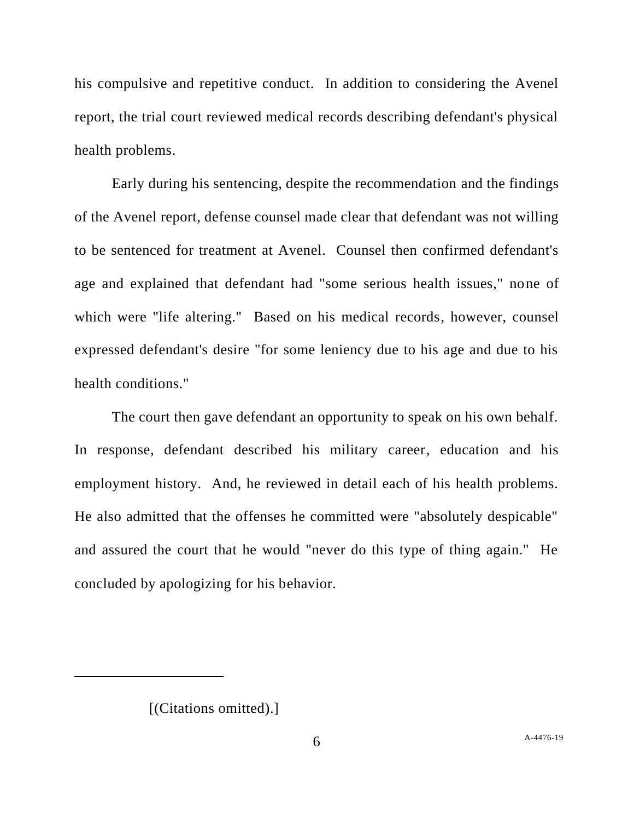his compulsive and repetitive conduct. In addition to considering the Avenel report, the trial court reviewed medical records describing defendant's physical health problems.

Early during his sentencing, despite the recommendation and the findings of the Avenel report, defense counsel made clear that defendant was not willing to be sentenced for treatment at Avenel. Counsel then confirmed defendant's age and explained that defendant had "some serious health issues," none of which were "life altering." Based on his medical records, however, counsel expressed defendant's desire "for some leniency due to his age and due to his health conditions."

The court then gave defendant an opportunity to speak on his own behalf. In response, defendant described his military career, education and his employment history. And, he reviewed in detail each of his health problems. He also admitted that the offenses he committed were "absolutely despicable" and assured the court that he would "never do this type of thing again." He concluded by apologizing for his behavior.

<sup>[(</sup>Citations omitted).]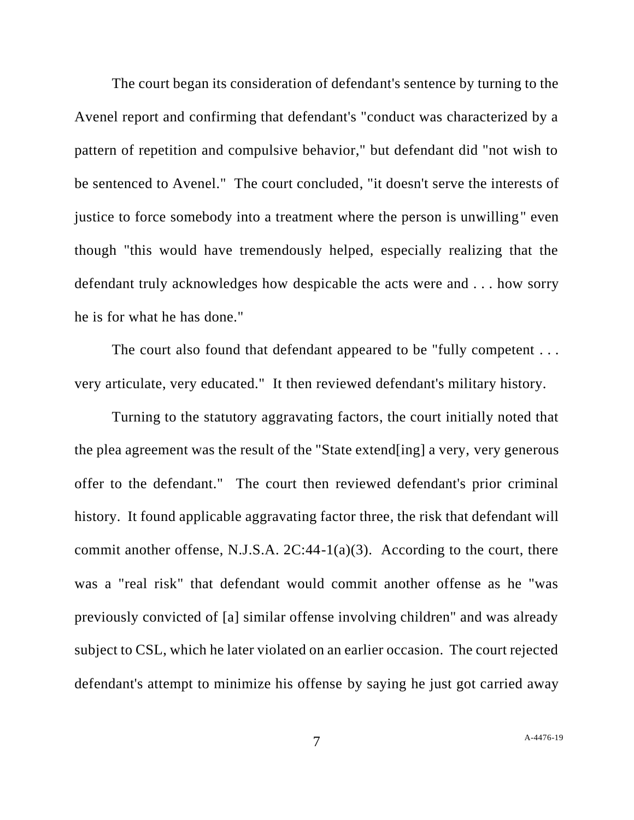The court began its consideration of defendant's sentence by turning to the Avenel report and confirming that defendant's "conduct was characterized by a pattern of repetition and compulsive behavior," but defendant did "not wish to be sentenced to Avenel." The court concluded, "it doesn't serve the interests of justice to force somebody into a treatment where the person is unwilling" even though "this would have tremendously helped, especially realizing that the defendant truly acknowledges how despicable the acts were and . . . how sorry he is for what he has done."

The court also found that defendant appeared to be "fully competent . . . very articulate, very educated." It then reviewed defendant's military history.

Turning to the statutory aggravating factors, the court initially noted that the plea agreement was the result of the "State extend[ing] a very, very generous offer to the defendant." The court then reviewed defendant's prior criminal history. It found applicable aggravating factor three, the risk that defendant will commit another offense, N.J.S.A.  $2C:44-1(a)(3)$ . According to the court, there was a "real risk" that defendant would commit another offense as he "was previously convicted of [a] similar offense involving children" and was already subject to CSL, which he later violated on an earlier occasion. The court rejected defendant's attempt to minimize his offense by saying he just got carried away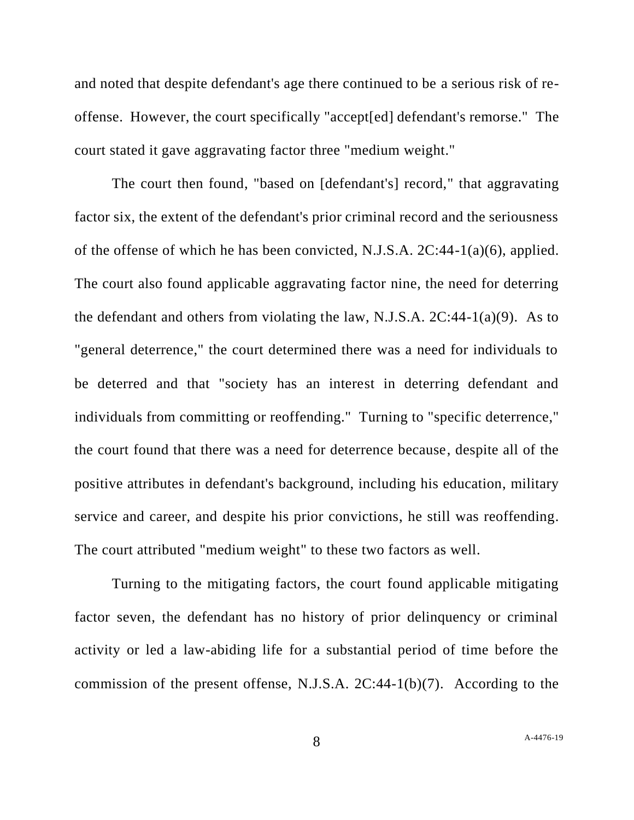and noted that despite defendant's age there continued to be a serious risk of reoffense. However, the court specifically "accept[ed] defendant's remorse." The court stated it gave aggravating factor three "medium weight."

The court then found, "based on [defendant's] record," that aggravating factor six, the extent of the defendant's prior criminal record and the seriousness of the offense of which he has been convicted, N.J.S.A. 2C:44-1(a)(6), applied. The court also found applicable aggravating factor nine, the need for deterring the defendant and others from violating the law, N.J.S.A.  $2C:44-1(a)(9)$ . As to "general deterrence," the court determined there was a need for individuals to be deterred and that "society has an interest in deterring defendant and individuals from committing or reoffending." Turning to "specific deterrence," the court found that there was a need for deterrence because, despite all of the positive attributes in defendant's background, including his education, military service and career, and despite his prior convictions, he still was reoffending. The court attributed "medium weight" to these two factors as well.

Turning to the mitigating factors, the court found applicable mitigating factor seven, the defendant has no history of prior delinquency or criminal activity or led a law-abiding life for a substantial period of time before the commission of the present offense, N.J.S.A. 2C:44-1(b)(7). According to the

8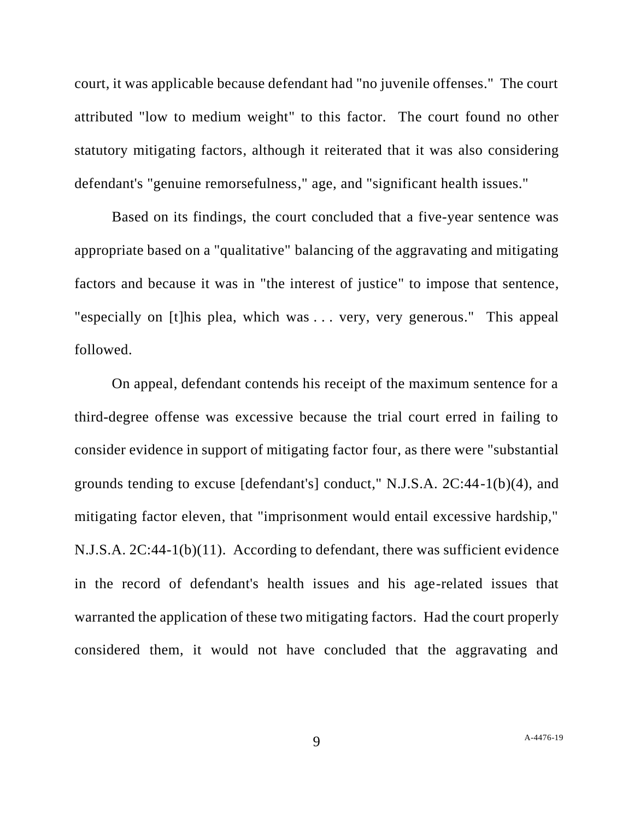court, it was applicable because defendant had "no juvenile offenses." The court attributed "low to medium weight" to this factor. The court found no other statutory mitigating factors, although it reiterated that it was also considering defendant's "genuine remorsefulness," age, and "significant health issues."

Based on its findings, the court concluded that a five-year sentence was appropriate based on a "qualitative" balancing of the aggravating and mitigating factors and because it was in "the interest of justice" to impose that sentence, "especially on [t]his plea, which was . . . very, very generous." This appeal followed.

On appeal, defendant contends his receipt of the maximum sentence for a third-degree offense was excessive because the trial court erred in failing to consider evidence in support of mitigating factor four, as there were "substantial grounds tending to excuse [defendant's] conduct," N.J.S.A. 2C:44-1(b)(4), and mitigating factor eleven, that "imprisonment would entail excessive hardship," N.J.S.A. 2C:44-1(b)(11). According to defendant, there was sufficient evidence in the record of defendant's health issues and his age-related issues that warranted the application of these two mitigating factors. Had the court properly considered them, it would not have concluded that the aggravating and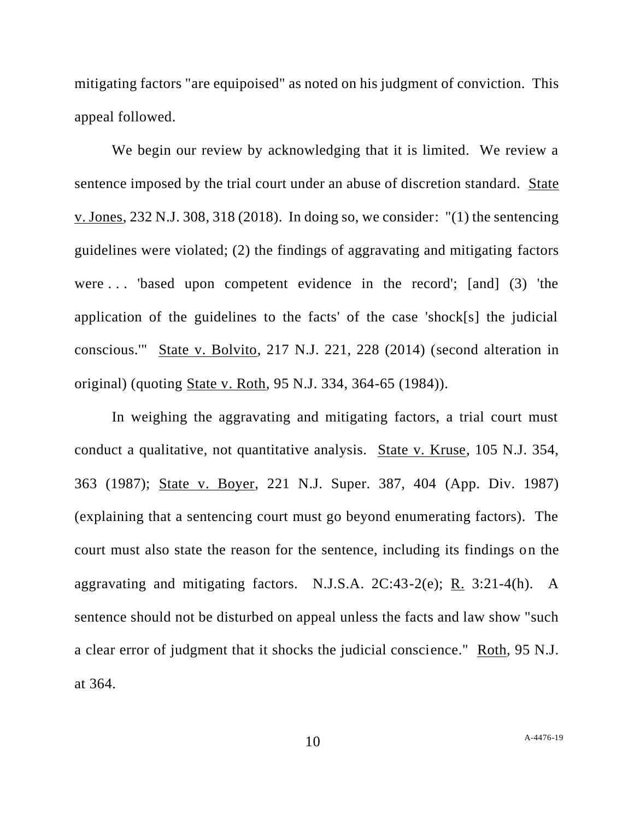mitigating factors "are equipoised" as noted on his judgment of conviction. This appeal followed.

We begin our review by acknowledging that it is limited. We review a sentence imposed by the trial court under an abuse of discretion standard. State v. Jones, 232 N.J. 308, 318 (2018). In doing so, we consider: "(1) the sentencing guidelines were violated; (2) the findings of aggravating and mitigating factors were . . . 'based upon competent evidence in the record'; [and] (3) 'the application of the guidelines to the facts' of the case 'shock[s] the judicial conscious.'" State v. Bolvito, 217 N.J. 221, 228 (2014) (second alteration in original) (quoting State v. Roth, 95 N.J. 334, 364-65 (1984)).

In weighing the aggravating and mitigating factors, a trial court must conduct a qualitative, not quantitative analysis. State v. Kruse, 105 N.J. 354, 363 (1987); State v. Boyer, 221 N.J. Super. 387, 404 (App. Div. 1987) (explaining that a sentencing court must go beyond enumerating factors). The court must also state the reason for the sentence, including its findings on the aggravating and mitigating factors. N.J.S.A.  $2C:43-2(e)$ ; R.  $3:21-4(h)$ . A sentence should not be disturbed on appeal unless the facts and law show "such a clear error of judgment that it shocks the judicial conscience." Roth, 95 N.J. at 364.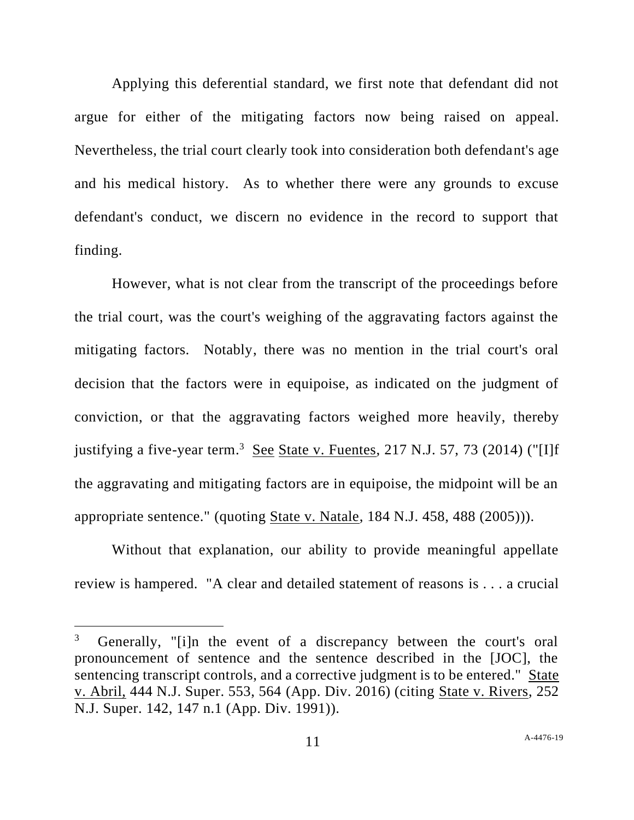Applying this deferential standard, we first note that defendant did not argue for either of the mitigating factors now being raised on appeal. Nevertheless, the trial court clearly took into consideration both defendant's age and his medical history. As to whether there were any grounds to excuse defendant's conduct, we discern no evidence in the record to support that finding.

However, what is not clear from the transcript of the proceedings before the trial court, was the court's weighing of the aggravating factors against the mitigating factors. Notably, there was no mention in the trial court's oral decision that the factors were in equipoise, as indicated on the judgment of conviction, or that the aggravating factors weighed more heavily, thereby justifying a five-year term.<sup>3</sup> See State v. Fuentes, 217 N.J. 57, 73 (2014) ("[I]f the aggravating and mitigating factors are in equipoise, the midpoint will be an appropriate sentence." (quoting State v. Natale, 184 N.J. 458, 488 (2005))).

Without that explanation, our ability to provide meaningful appellate review is hampered. "A clear and detailed statement of reasons is . . . a crucial

<sup>3</sup> Generally, "[i]n the event of a discrepancy between the court's oral pronouncement of sentence and the sentence described in the [JOC], the sentencing transcript controls, and a corrective judgment is to be entered." State v. Abril, 444 N.J. Super. 553, 564 (App. Div. 2016) (citing State v. Rivers, 252 N.J. Super. 142, 147 n.1 (App. Div. 1991)).